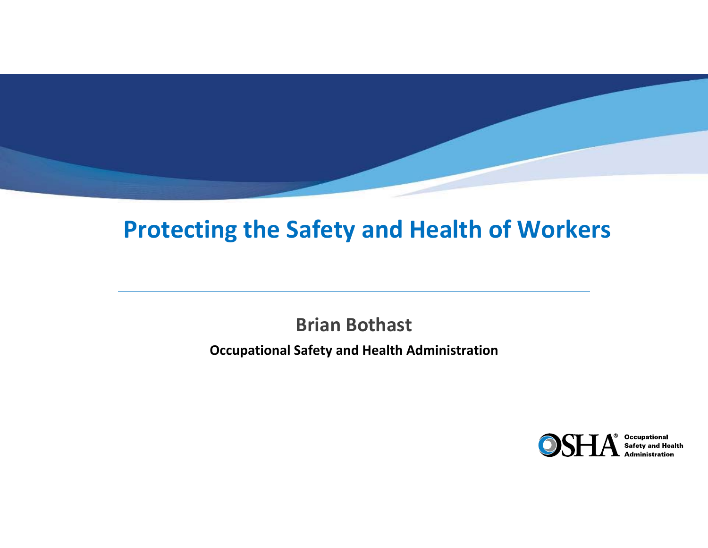#### **Protecting the Safety and Health of Workers**

**Brian Bothast Occupational Safety and Health Administration**



**Occupational**<br>Safety and Health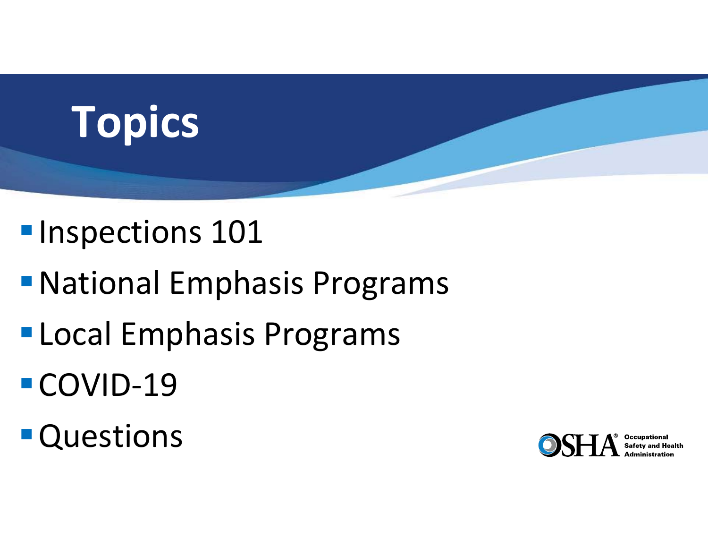# **Topics**

## **Inspections 101**

- National Emphasis Programs
- **Local Emphasis Programs**
- ■COVID-19
- **Questions**

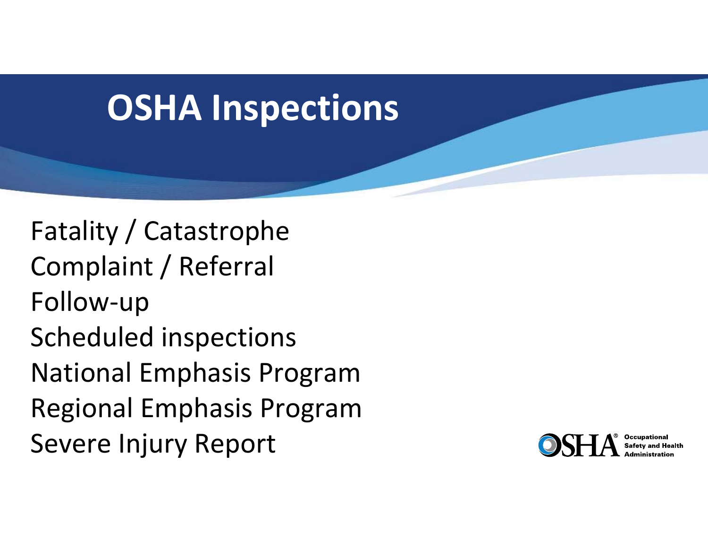## **OSHA Inspections**

Fatality / Catastrophe Complaint / Referral Follow‐up Scheduled inspections National Emphasis Program Regional Emphasis Program Severe Injury Report

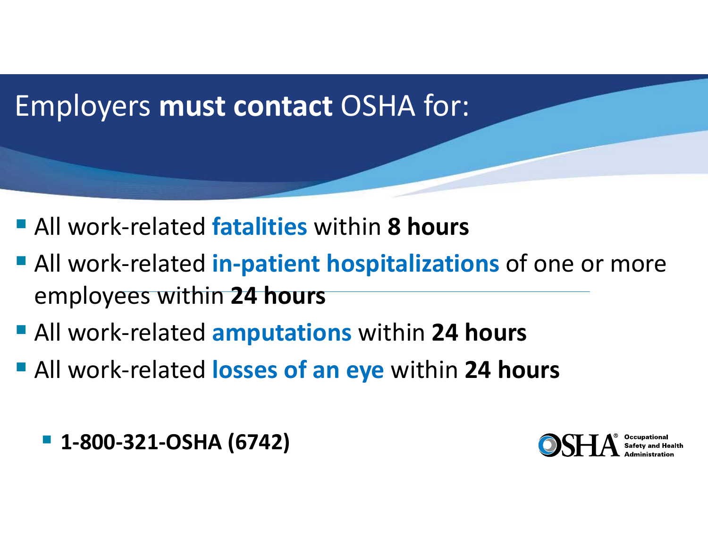#### Employers **must contact** OSHA for:

- All work-related **fatalities** within **8 hours**
- All work-related **in-patient hospitalizations** of one or more employees within **24 hours**
- All work-related **amputations** within 24 hours
- All work-related losses of an eye within 24 hours

**1‐800‐321‐OSHA (6742)**

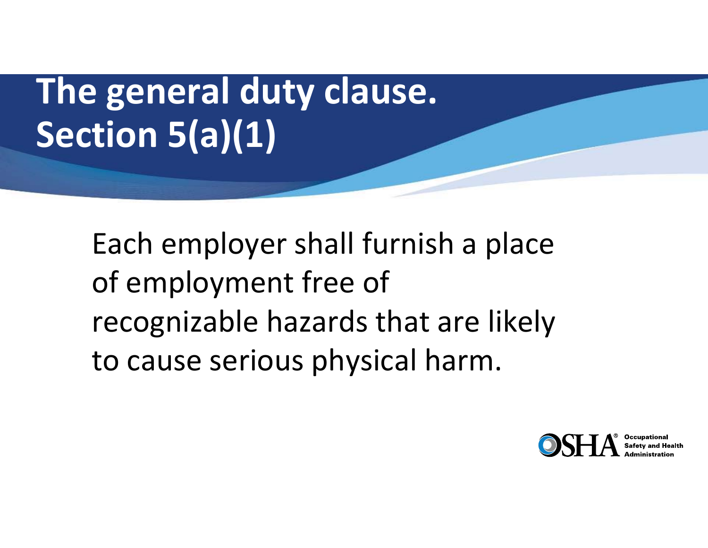# **The general duty clause. Section 5(a)(1)**

Each employer shall furnish a place of employment free of recognizable hazards that are likely to cause serious physical harm.

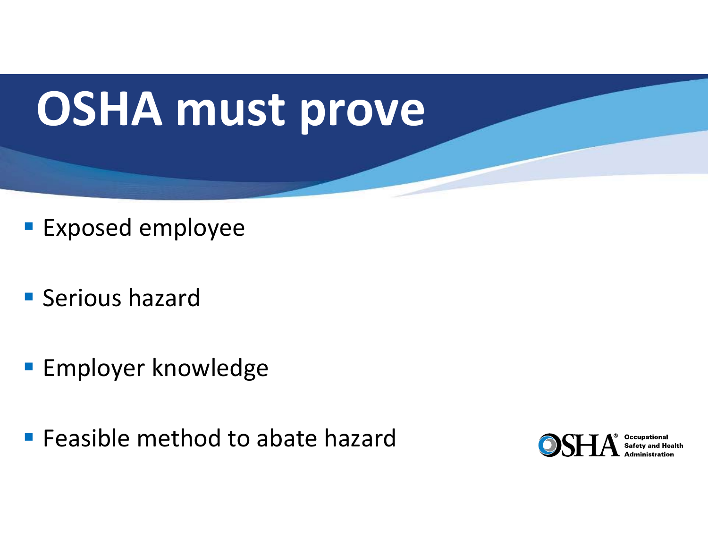# **OSHA must prove**

- **Exposed employee**
- **Serious hazard**
- **Employer knowledge**
- **Fiangle 5 Feasible method to abate hazard**

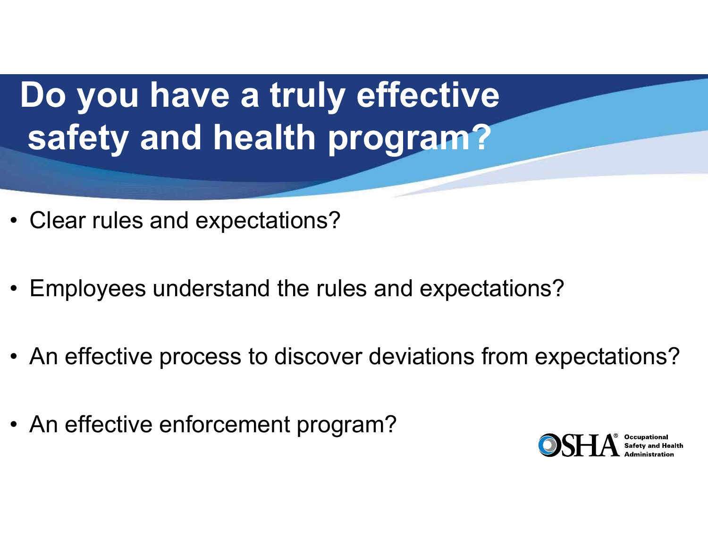## **Do you have a truly effective safety and health program?**

- Clear rules and expectations?
- Employees understand the rules and expectations?
- An effective process to discover deviations from expectations?
- An effective enforcement program?

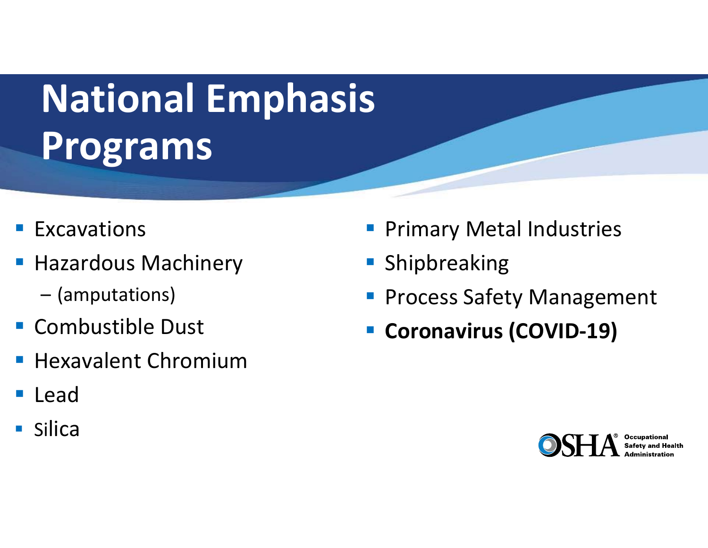# **National Emphasis Programs**

- **Excavations**
- **Contract Contract Contract Contract Contract Contract Contract Contract Contract Contract Contract Contract Co**  Hazardous Machinery
	- (amputations)
- **Combustible Dust**
- Hexavalent Chromium
- Lead
- Silica
- Primary Metal Industries
- **Contract Contract Contract Contract Contract Contract Contract Contract Contract Contract Contract Contract Co** Shipbreaking
- Process Safety Management
- Coronavirus (COVID-19)

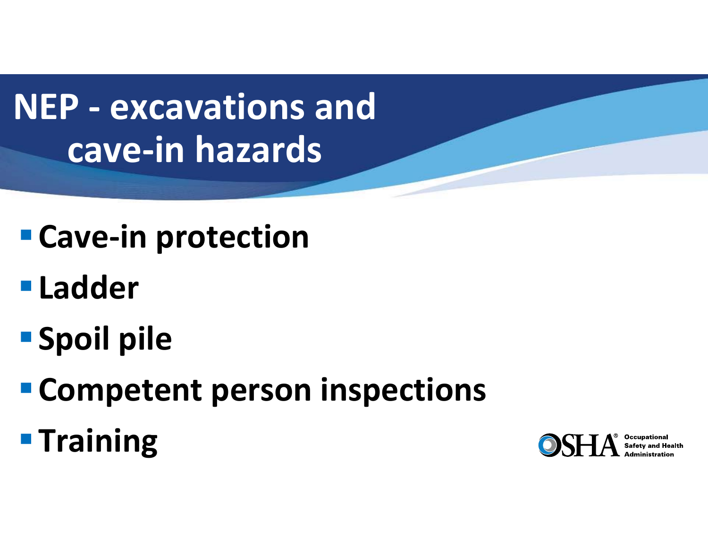**NEP ‐ excavations and cave‐in hazards** 

- **Cave‐in protection**
- **Ladder**
- **Spoil pile**
- **Competent person inspections**
- **Training**

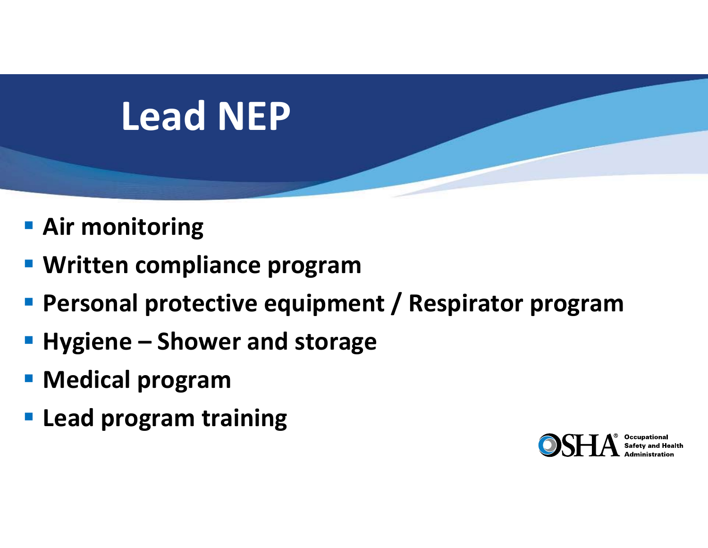# **Lead NEP**

- **Air monitoring**
- **Written compliance program**
- **Personal protective equipment / Respirator program**
- **Hygiene – Shower and storage**
- **Medical program**
- **Lead program training**

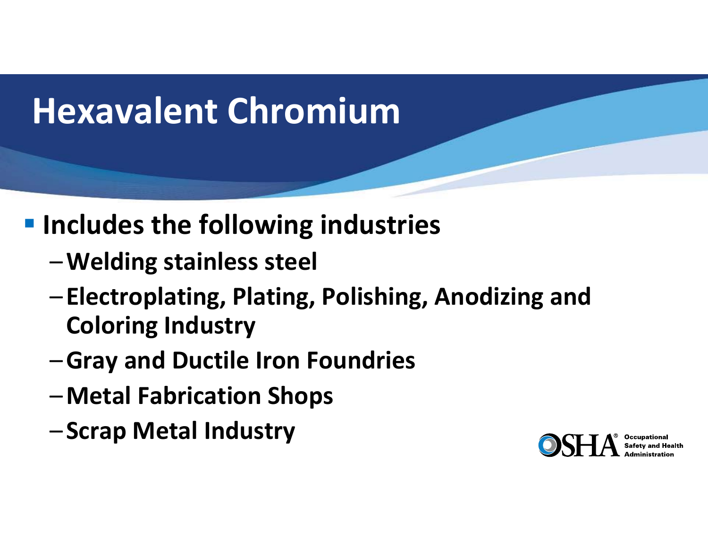## **Hexavalent Chromium**

#### $\blacksquare$  Includes the following industries

- –**Welding stainless steel**
- – **Electroplating, Plating, Polishing, Anodizing and Coloring Industry**
- –**Gray and Ductile Iron Foundries**
- –**Metal Fabrication Shops**
- –**Scrap Metal Industry**

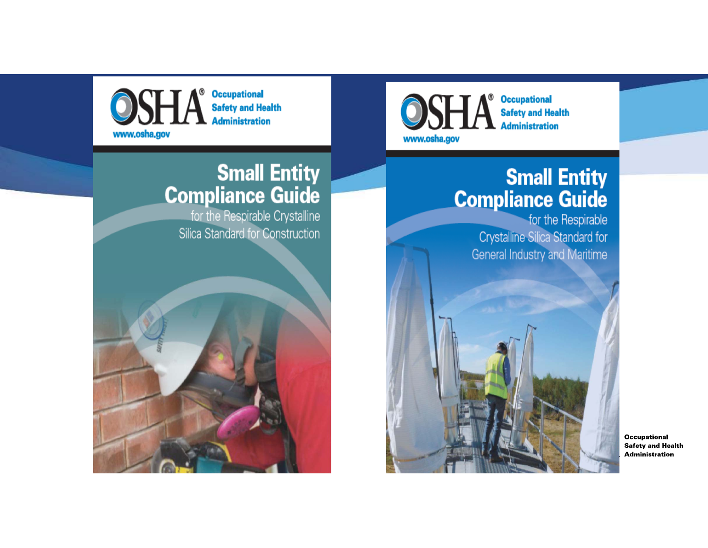

#### **Small Entity Compliance Guide**

for the Respirable Crystalline Silica Standard for Construction



**Occupational Safety and Health Administration** www.osha.gov

#### **Small Entity Compliance Guide**

for the Respirable **Crystalline Silica Standard for General Industry and Maritime** 

**Occupational Safety and Health Administration**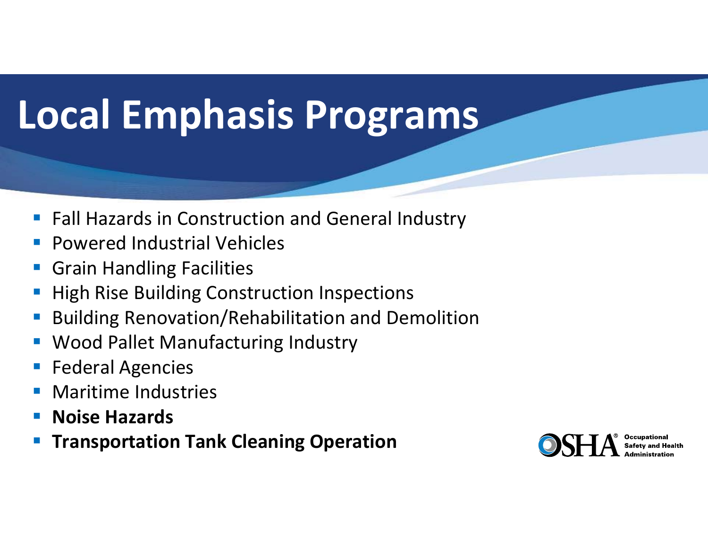# **Local Emphasis Programs**

- Fall Hazards in Construction and General Industry
- $\mathcal{L}_{\mathcal{A}}$ Powered Industrial Vehicles
- $\Box$ Grain Handling Facilities
- High Rise Building Construction Inspections
- Building Renovation/Rehabilitation and Demolition
- $\overline{\mathbb{R}}$ Wood Pallet Manufacturing Industry
- $\Box$ Federal Agencies
- Maritime Industries
- **Noise Hazards**
- $\mathbb{R}^3$ **Transportation Tank Cleaning Operation**

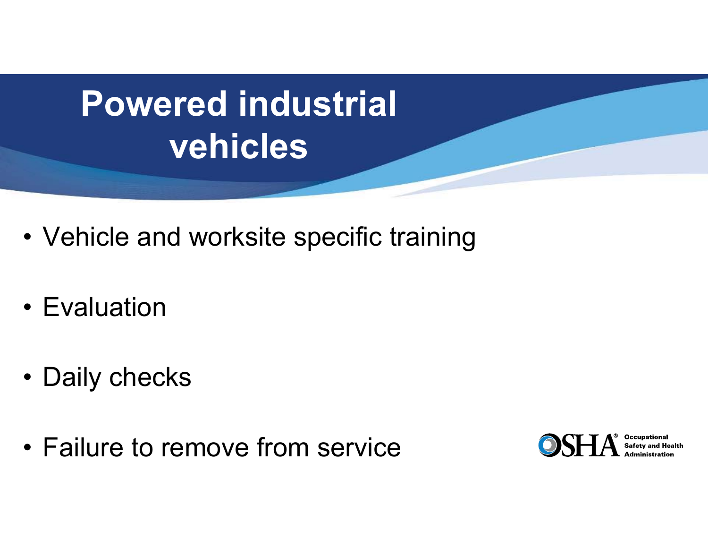# **Powered industrial vehicles**

- Vehicle and worksite specific training
- Evaluation
- Daily checks
- Failure to remove from service

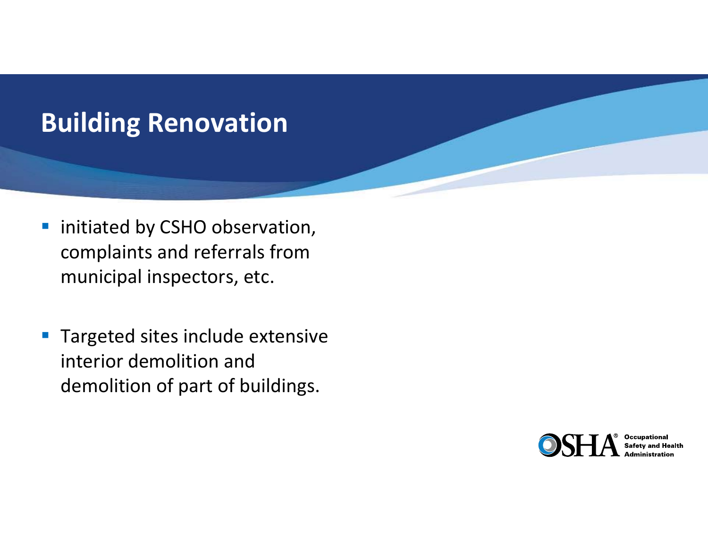#### **Building Renovation**

- $\mathcal{L}_{\mathcal{A}}$  initiated by CSHO observation, complaints and referrals from municipal inspectors, etc.
- $\overline{\mathbb{R}}$  Targeted sites include extensive interior demolition and demolition of part of buildings.

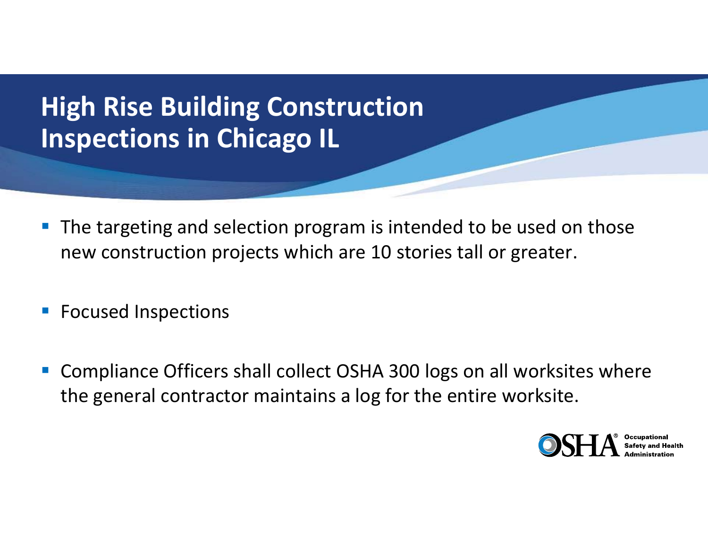#### **High Rise Building Construction Inspections in Chicago IL**

- $\mathbb{R}^3$  The targeting and selection program is intended to be used on those new construction projects which are 10 stories tall or greater.
- **FICUSED INSPECTIONS**
- Compliance Officers shall collect OSHA 300 logs on all worksites where the general contractor maintains a log for the entire worksite.

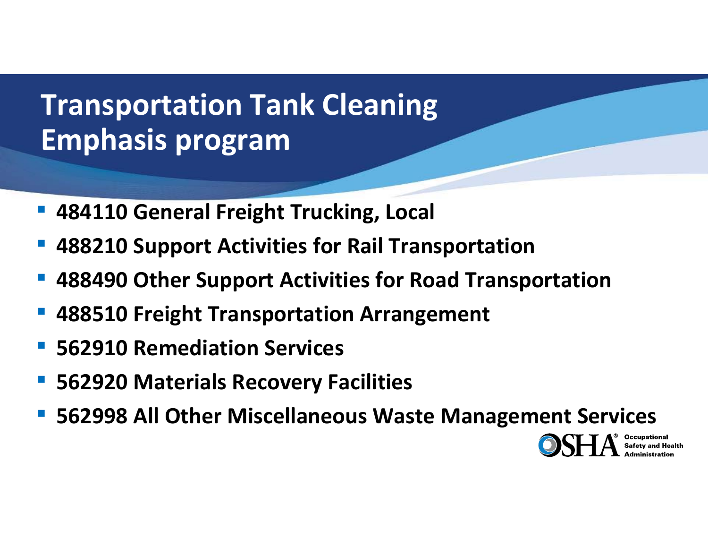#### **Transportation Tank Cleaning Emphasis program**

- **484110 General Freight Trucking, Local**
- **488210 Support Activities for Rail Transportation**
- **488490 Other Support Activities for Road Transportation**
- **488510 Freight Transportation Arrangement**
- **562910 Remediation Services**
- **562920 Materials Recovery Facilities**
- **562998 All Other Miscellaneous Waste Management Services**

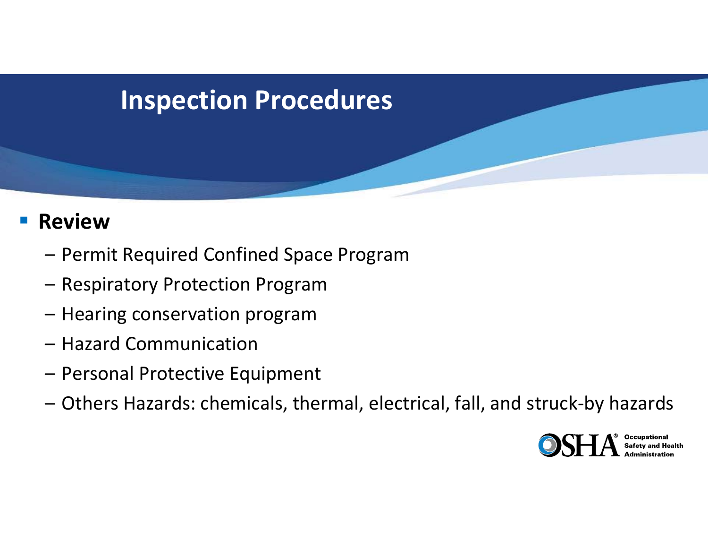#### **Inspection Procedures**

#### **Review**

- Permit Required Confined Space Program
- Respiratory Protection Program
- Hearing conservation program
- Hazard Communication
- –Personal Protective Equipment
- Others Hazards: chemicals, thermal, electrical, fall, and struck‐by hazards

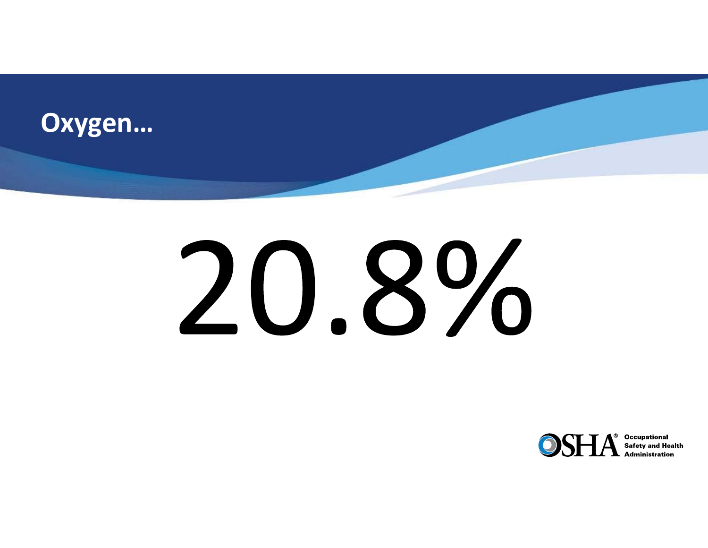

# 20.8%

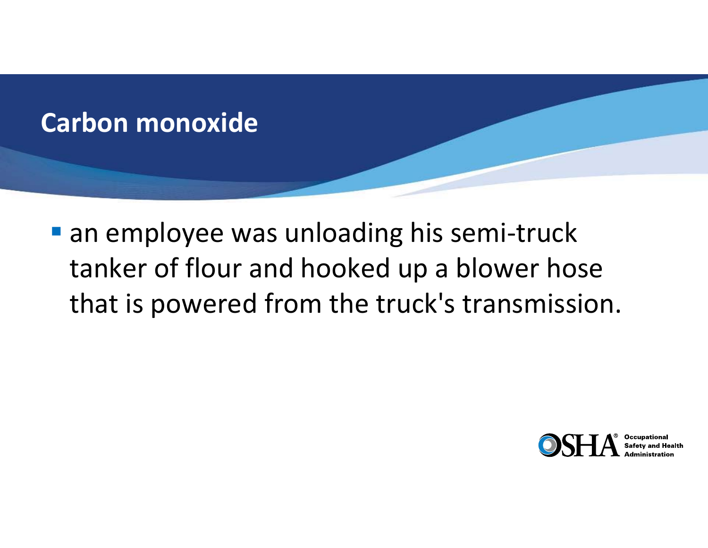

■ an employee was unloading his semi-truck tanker of flour and hooked up a blower hose that is powered from the truck's transmission.

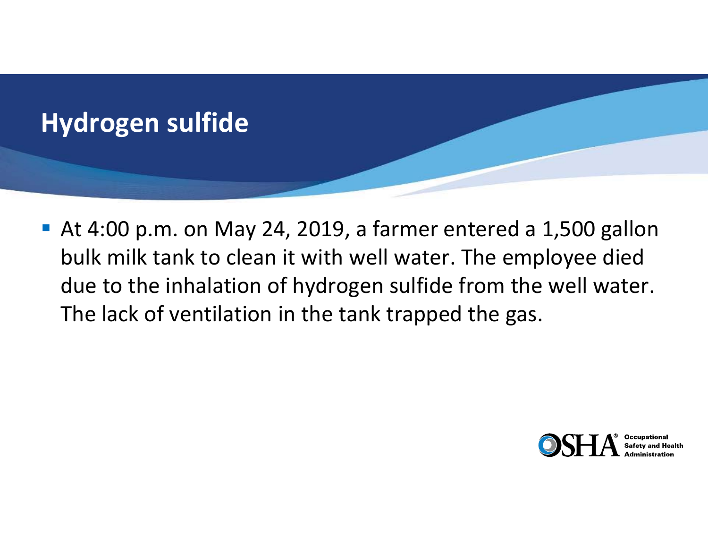

 At 4:00 p.m. on May 24, 2019, a farmer entered a 1,500 gallon bulk milk tank to clean it with well water. The employee died due to the inhalation of hydrogen sulfide from the well water. The lack of ventilation in the tank trapped the gas.

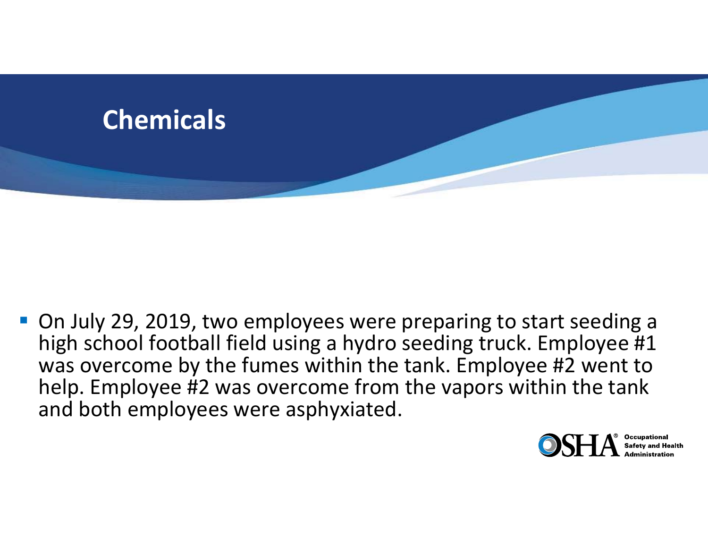

■ On July 29, 2019, two employees were preparing to start seeding a high school football field using a hydro seeding truck. Employee #1 was overcome by the fumes within the tank. Employee #2 went to help. Employee #2 was overcome from the vapors within the tank and both employees were asphyxiated.



**Occupational**<br>Safety and Health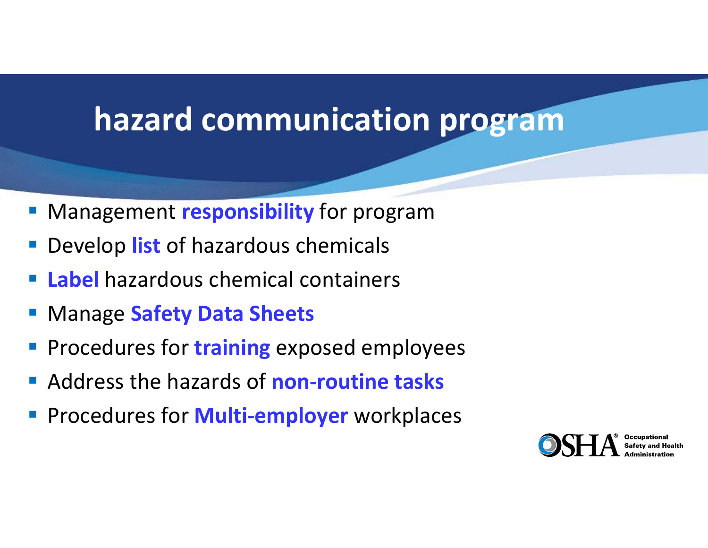### **hazard communication program**

- $\mathbb{R}^2$ Management **responsibility** for program
- Develop **list** of hazardous chemicals
- **Label** hazardous chemical containers
- p. Manage **Safety Data Sheets**
- Procedures for **training** exposed employees
- Address the hazards of **non-routine tasks**
- p. Procedures for **Multi‐employer** workplaces

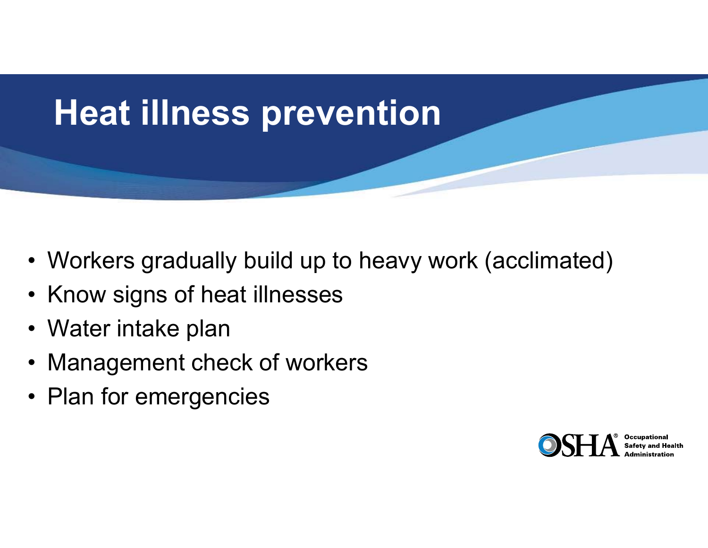

- Workers gradually build up to heavy work (acclimated)
- Know signs of heat illnesses
- Water intake plan
- Management check of workers
- Plan for emergencies

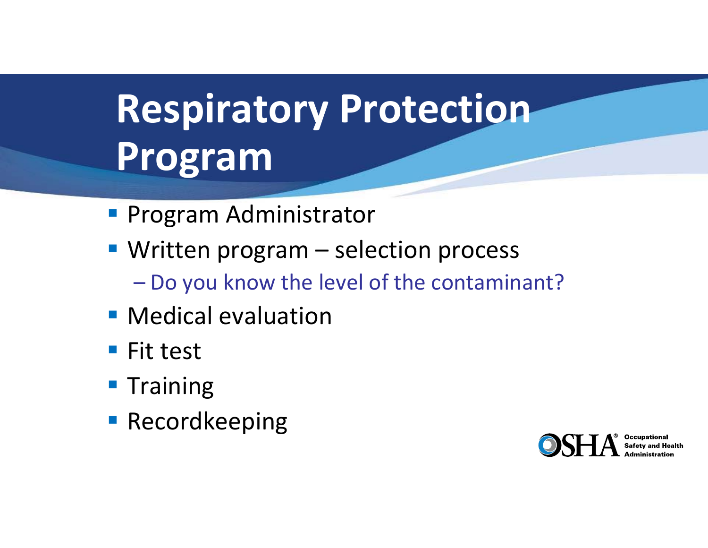# **Respiratory Protection Program**

- **Program Administrator**
- **Written program selection process** 
	- Do you know the level of the contaminant?
- **Medical evaluation**
- Fit test
- **Training**
- **Recordkeeping**

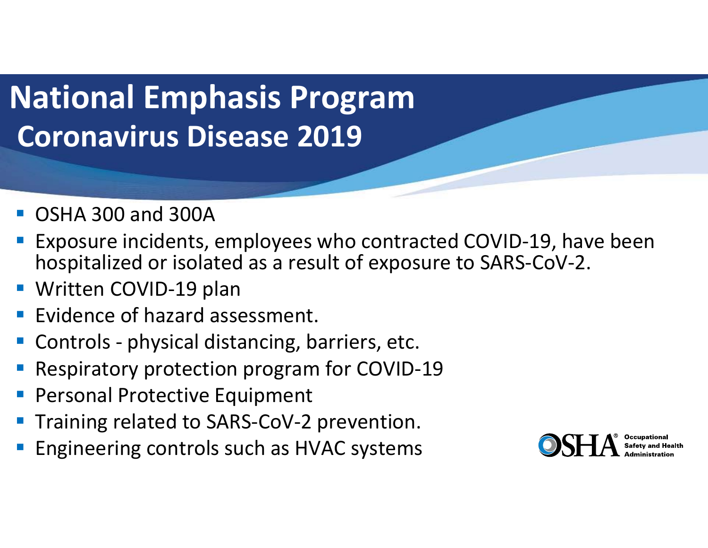## **National Emphasis Program Coronavirus Disease 2019**

- OSHA 300 and 300A
- Exposure incidents, employees who contracted COVID‐19, have been hospitalized or isolated as a result of exposure to SARS‐CoV‐2.
- and the state of the state of the state of the state of the state of the state of the state of the state of th Written COVID‐19 plan
- Evidence of hazard assessment.
- Controls ‐ physical distancing, barriers, etc.
- Respiratory protection program for COVID‐19
- Personal Protective Equipment
- and the state of the state of the state of the state of the state of the state of the state of the state of th Training related to SARS‐CoV‐2 prevention.
- Engineering controls such as HVAC systems

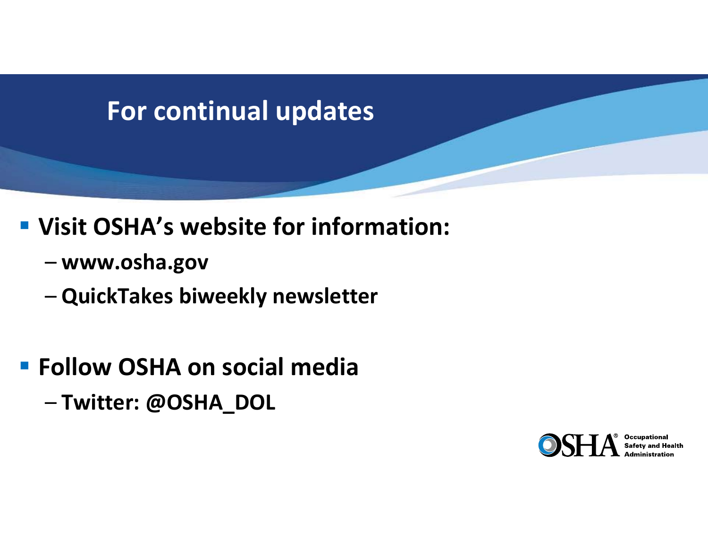#### **For continual updates**

#### **Visit OSHA's website for information:**

- **www.osha.gov**
- **QuickTakes biweekly newsletter**

#### **Follow OSHA on social media**

–**Twitter: @OSHA\_DOL**